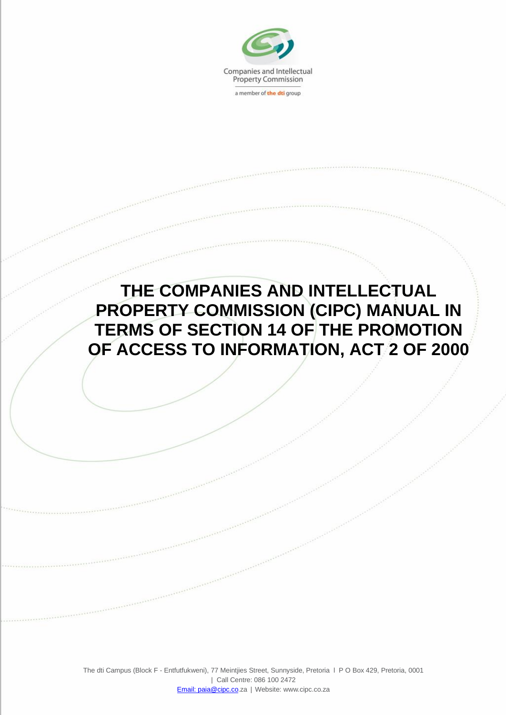

a member of the dti group

## **THE COMPANIES AND INTELLECTUAL PROPERTY COMMISSION (CIPC) MANUAL IN TERMS OF SECTION 14 OF THE PROMOTION OF ACCESS TO INFORMATION, ACT 2 OF 2000**